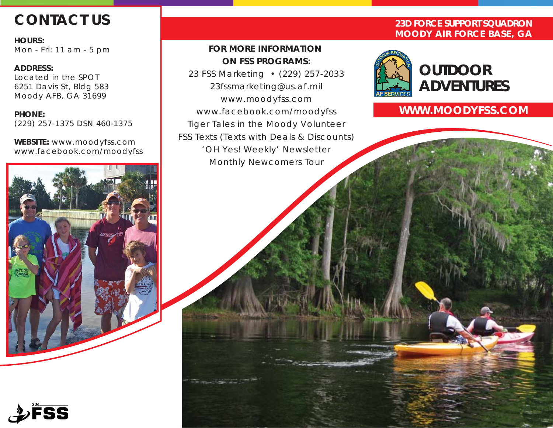# **CONTACT US**

**HOURS:** Mon - Fri: 11 am - 5 pm

**ADDRESS:** Located in the SPOT 6251 Davis St, Bldg 583 Moody AFB, GA 31699

**PHONE:** (229) 257-1375 DSN 460-1375

**WEBSITE:** www.moodyfss.com www.facebook.com/moodyfss

# *FOR MORE INFORMATION ON FSS PROGRAMS:*

*23 FSS Marketing • (229) 257-2033 23fssmarketing@us.af.mil www.moodyfss.com www.facebook.com/moodyfss Tiger Tales in the Moody Volunteer FSS Texts (Texts with Deals & Discounts) 'OH Yes! Weekly' Newsletter Monthly Newcomers Tour*

# **23D FORCE SUPPORT SQUADRON MOODY AIR FORCE BASE, GA**



# **WWW.MOODYFSS.COM**